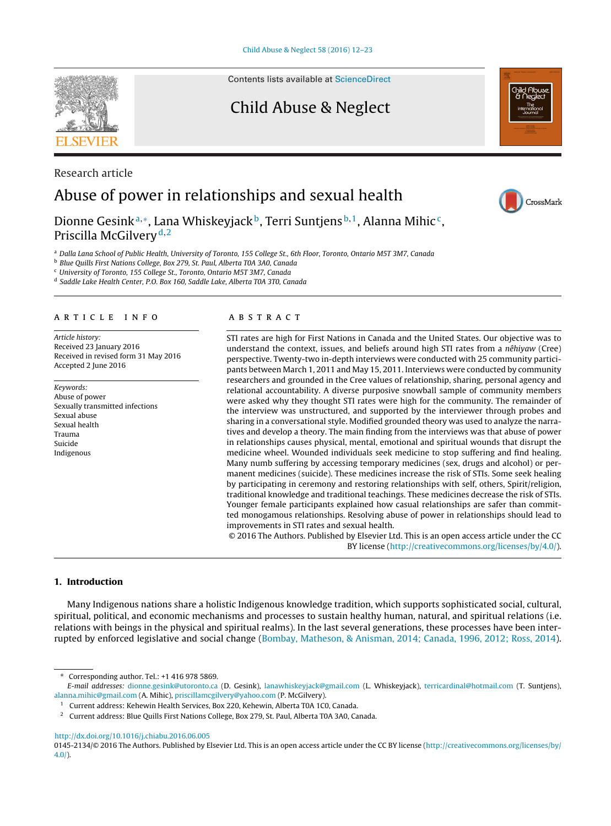Contents lists available at [ScienceDirect](http://www.sciencedirect.com/science/journal/01452134)

# Child Abuse & Neglect

# Research article Abuse of power in relationships and sexual health

Dionne Gesink<sup>a,∗</sup>, Lana Whiskeyjack<sup>b</sup>, Terri Suntjens<sup>b,1</sup>, Alanna Mihic<sup>c</sup>, Priscilla McGilvery<sup>d,2</sup>

<sup>a</sup> Dalla Lana School of Public Health, University of Toronto, 155 College St., 6th Floor, Toronto, Ontario M5T 3M7, Canada

<sup>b</sup> Blue Quills First Nations College, Box 279, St. Paul, Alberta T0A 3A0, Canada

<sup>c</sup> University of Toronto, 155 College St., Toronto, Ontario M5T 3M7, Canada

<sup>d</sup> Saddle Lake Health Center, P.O. Box 160, Saddle Lake, Alberta T0A 3T0, Canada

#### a r t i c l e i n f o

Article history: Received 23 January 2016 Received in revised form 31 May 2016 Accepted 2 June 2016

Keywords: Abuse of power Sexually transmitted infections Sexual abuse Sexual health Trauma Suicide Indigenous

# a b s t r a c t

STI rates are high for First Nations in Canada and the United States. Our objective was to understand the context, issues, and beliefs around high STI rates from a nêhiyaw (Cree) perspective. Twenty-two in-depth interviews were conducted with 25 community participants between March 1, 2011 and May 15, 2011. Interviews were conducted by community researchers and grounded in the Cree values of relationship, sharing, personal agency and relational accountability. A diverse purposive snowball sample of community members were asked why they thought STI rates were high for the community. The remainder of the interview was unstructured, and supported by the interviewer through probes and sharing in a conversational style. Modified grounded theory was used to analyze the narratives and develop a theory. The main finding from the interviews was that abuse of power in relationships causes physical, mental, emotional and spiritual wounds that disrupt the medicine wheel. Wounded individuals seek medicine to stop suffering and find healing. Many numb suffering by accessing temporary medicines (sex, drugs and alcohol) or permanent medicines (suicide). These medicines increase the risk of STIs. Some seek healing by participating in ceremony and restoring relationships with self, others, Spirit/religion, traditional knowledge and traditional teachings. These medicines decrease the risk of STIs. Younger female participants explained how casual relationships are safer than committed monogamous relationships. Resolving abuse of power in relationships should lead to improvements in STI rates and sexual health.

© 2016 The Authors. Published by Elsevier Ltd. This is an open access article under the CC BY license [\(http://creativecommons.org/licenses/by/4.0/](http://creativecommons.org/licenses/by/4.0/)).

### **1. Introduction**

Many Indigenous nations share a holistic Indigenous knowledge tradition, which supports sophisticated social, cultural, spiritual, political, and economic mechanisms and processes to sustain healthy human, natural, and spiritual relations (i.e. relations with beings in the physical and spiritual realms). In the last several generations, these processes have been interrupted by enforced legislative and social change [\(Bombay,](#page-9-0) [Matheson,](#page-9-0) [&](#page-9-0) [Anisman,](#page-9-0) [2014;](#page-9-0) [Canada,](#page-9-0) [1996,](#page-9-0) [2012;](#page-9-0) [Ross,](#page-9-0) [2014\).](#page-9-0)

∗ Corresponding author. Tel.: +1 416 978 5869.







E-mail addresses: [dionne.gesink@utoronto.ca](mailto:dionne.gesink@utoronto.ca) (D. Gesink), [lanawhiskeyjack@gmail.com](mailto:lanawhiskeyjack@gmail.com) (L. Whiskeyjack), [terricardinal@hotmail.com](mailto:terricardinal@hotmail.com) (T. Suntjens), [alanna.mihic@gmail.com](mailto:alanna.mihic@gmail.com) (A. Mihic), [priscillamcgilvery@yahoo.com](mailto:priscillamcgilvery@yahoo.com) (P. McGilvery).

<sup>1</sup> Current address: Kehewin Health Services, Box 220, Kehewin, Alberta T0A 1C0, Canada.

<sup>2</sup> Current address: Blue Quills First Nations College, Box 279, St. Paul, Alberta T0A 3A0, Canada.

[http://dx.doi.org/10.1016/j.chiabu.2016.06.005](dx.doi.org/10.1016/j.chiabu.2016.06.005)

<sup>0145-2134/©</sup> 2016 The Authors. Published by Elsevier Ltd. This is an open access article under the CC BY license [\(http://creativecommons.org/licenses/by/](http://creativecommons.org/licenses/by/4.0/) [4.0/\)](http://creativecommons.org/licenses/by/4.0/).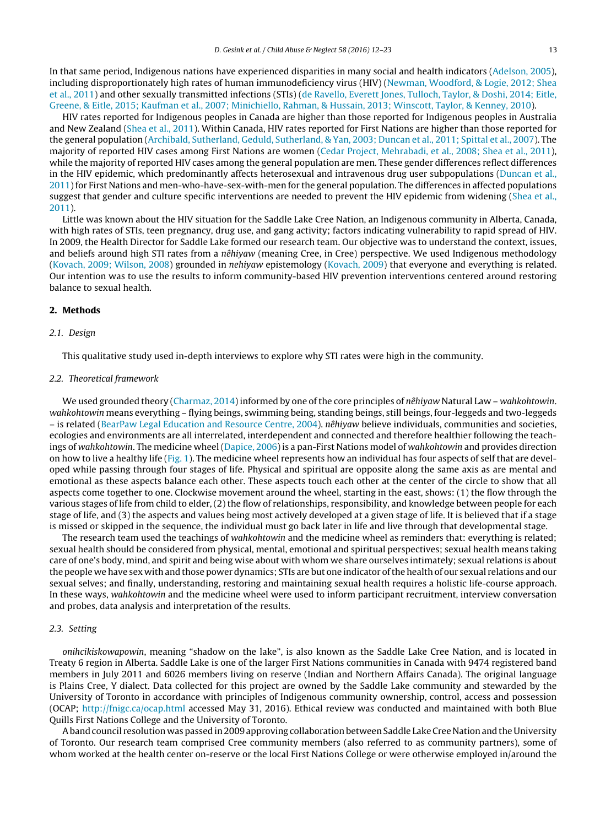In that same period, Indigenous nations have experienced disparities in many social and health indicators [\(Adelson,](#page-9-0) [2005\),](#page-9-0) including disproportionately high rates of human immunodeficiency virus (HIV) [\(Newman,](#page-10-0) [Woodford,](#page-10-0) [&](#page-10-0) [Logie,](#page-10-0) [2012;](#page-10-0) [Shea](#page-10-0) et [al.,](#page-10-0) [2011\)](#page-10-0) and other sexually transmitted infections (STIs) [\(de](#page-10-0) [Ravello,](#page-10-0) [Everett](#page-10-0) [Jones,](#page-10-0) [Tulloch,](#page-10-0) [Taylor,](#page-10-0) [&](#page-10-0) [Doshi,](#page-10-0) [2014;](#page-10-0) [Eitle,](#page-10-0) [Greene,](#page-10-0) [&](#page-10-0) [Eitle,](#page-10-0) [2015;](#page-10-0) [Kaufman](#page-10-0) et [al.,](#page-10-0) [2007;](#page-10-0) [Minichiello,](#page-10-0) [Rahman,](#page-10-0) [&](#page-10-0) [Hussain,](#page-10-0) [2013;](#page-10-0) [Winscott,](#page-10-0) [Taylor,](#page-10-0) [&](#page-10-0) [Kenney,](#page-10-0) [2010\).](#page-10-0)

HIV rates reported for Indigenous peoples in Canada are higher than those reported for Indigenous peoples in Australia and New Zealand [\(Shea](#page-11-0) et [al.,](#page-11-0) [2011\).](#page-11-0) Within Canada, HIV rates reported for First Nations are higher than those reported for the general population ([Archibald,](#page-9-0) [Sutherland,](#page-9-0) [Geduld,](#page-9-0) [Sutherland,](#page-9-0) [&](#page-9-0) [Yan,](#page-9-0) [2003;](#page-9-0) [Duncan](#page-9-0) et [al.,](#page-9-0) [2011;](#page-9-0) [Spittal](#page-9-0) et [al.,](#page-9-0) [2007\).](#page-9-0) The majority of reported HIV cases among First Nations are women [\(Cedar](#page-10-0) [Project,](#page-10-0) [Mehrabadi,](#page-10-0) et [al.,](#page-10-0) [2008;](#page-10-0) [Shea](#page-10-0) et [al.,](#page-10-0) [2011\),](#page-10-0) while the majority of reported HIV cases among the general population are men. These gender differences reflect differences in the HIV epidemic, which predominantly affects heterosexual and intravenous drug user subpopulations ([Duncan](#page-10-0) et [al.,](#page-10-0) [2011\)f](#page-10-0)or First Nations and men-who-have-sex-with-men for the general population. The differences in affected populations suggest that gender and culture specific interventions are needed to prevent the HIV epidemic from widening ([Shea](#page-11-0) et [al.,](#page-11-0) [2011\).](#page-11-0)

Little was known about the HIV situation for the Saddle Lake Cree Nation, an Indigenous community in Alberta, Canada, with high rates of STIs, teen pregnancy, drug use, and gang activity; factors indicating vulnerability to rapid spread of HIV. In 2009, the Health Director for Saddle Lake formed our research team. Our objective was to understand the context, issues, and beliefs around high STI rates from a nêhiyaw (meaning Cree, in Cree) perspective. We used Indigenous methodology [\(Kovach,](#page-10-0) [2009;](#page-10-0) [Wilson,](#page-10-0) [2008\)](#page-10-0) grounded in nehiyaw epistemology ([Kovach,](#page-10-0) [2009\)](#page-10-0) that everyone and everything is related. Our intention was to use the results to inform community-based HIV prevention interventions centered around restoring balance to sexual health.

## **2. Methods**

#### 2.1. Design

This qualitative study used in-depth interviews to explore why STI rates were high in the community.

#### 2.2. Theoretical framework

We used grounded theory ([Charmaz,](#page-10-0) [2014\)](#page-10-0) informed by one of the core principles of nêhiyaw Natural Law – wahkohtowin. wahkohtowin means everything – flying beings, swimming being, standing beings, still beings, four-leggeds and two-leggeds – is related [\(BearPaw](#page-9-0) [Legal](#page-9-0) [Education](#page-9-0) [and](#page-9-0) [Resource](#page-9-0) [Centre,](#page-9-0) [2004\).](#page-9-0) nêhiyaw believe individuals, communities and societies, ecologies and environments are all interrelated, interdependent and connected and therefore healthier following the teachings of wahkohtowin. The medicine wheel ([Dapice,](#page-10-0) [2006\)](#page-10-0) is a pan-First Nations model of wahkohtowin and provides direction on how to live a healthy life ([Fig.](#page-2-0) 1). The medicine wheel represents how an individual has four aspects of self that are developed while passing through four stages of life. Physical and spiritual are opposite along the same axis as are mental and emotional as these aspects balance each other. These aspects touch each other at the center of the circle to show that all aspects come together to one. Clockwise movement around the wheel, starting in the east, shows: (1) the flow through the various stages of life from child to elder, (2) the flow of relationships, responsibility, and knowledge between people for each stage of life, and (3) the aspects and values being most actively developed at a given stage of life. It is believed that if a stage is missed or skipped in the sequence, the individual must go back later in life and live through that developmental stage.

The research team used the teachings of wahkohtowin and the medicine wheel as reminders that: everything is related; sexual health should be considered from physical, mental, emotional and spiritual perspectives; sexual health means taking care of one's body, mind, and spirit and being wise about with whom we share ourselves intimately; sexual relations is about the people we have sex with and those power dynamics; STIs are but one indicator ofthe health of our sexual relations and our sexual selves; and finally, understanding, restoring and maintaining sexual health requires a holistic life-course approach. In these ways, wahkohtowin and the medicine wheel were used to inform participant recruitment, interview conversation and probes, data analysis and interpretation of the results.

### 2.3. Setting

onihcikiskowapowin, meaning "shadow on the lake", is also known as the Saddle Lake Cree Nation, and is located in Treaty 6 region in Alberta. Saddle Lake is one of the larger First Nations communities in Canada with 9474 registered band members in July 2011 and 6026 members living on reserve (Indian and Northern Affairs Canada). The original language is Plains Cree, Y dialect. Data collected for this project are owned by the Saddle Lake community and stewarded by the University of Toronto in accordance with principles of Indigenous community ownership, control, access and possession (OCAP; <http://fnigc.ca/ocap.html> accessed May 31, 2016). Ethical review was conducted and maintained with both Blue Quills First Nations College and the University of Toronto.

Aband council resolution was passed in 2009 approving collaboration between Saddle Lake Cree Nation and the University of Toronto. Our research team comprised Cree community members (also referred to as community partners), some of whom worked at the health center on-reserve or the local First Nations College or were otherwise employed in/around the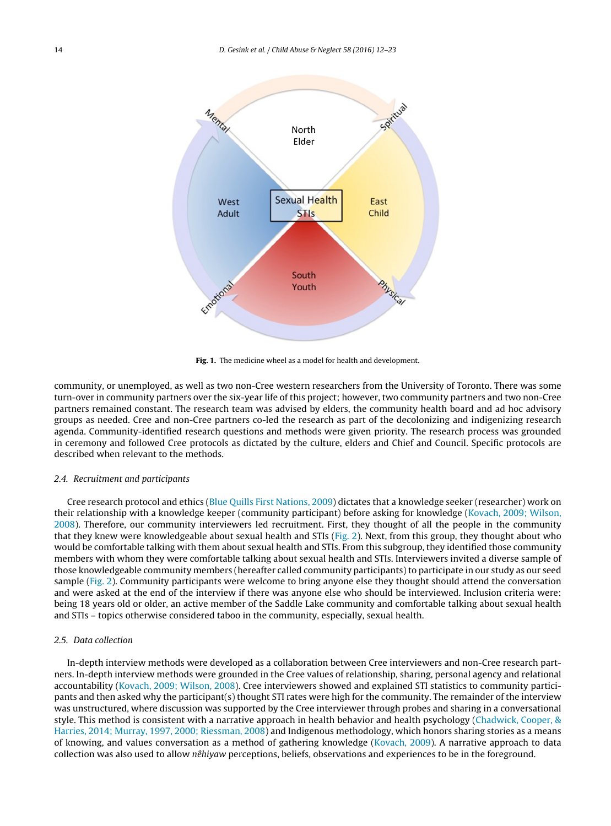<span id="page-2-0"></span>

**Fig. 1.** The medicine wheel as a model for health and development.

community, or unemployed, as well as two non-Cree western researchers from the University of Toronto. There was some turn-over in community partners over the six-year life of this project; however, two community partners and two non-Cree partners remained constant. The research team was advised by elders, the community health board and ad hoc advisory groups as needed. Cree and non-Cree partners co-led the research as part of the decolonizing and indigenizing research agenda. Community-identified research questions and methods were given priority. The research process was grounded in ceremony and followed Cree protocols as dictated by the culture, elders and Chief and Council. Specific protocols are described when relevant to the methods.

#### 2.4. Recruitment and participants

Cree research protocol and ethics ([Blue](#page-9-0) [Quills](#page-9-0) [First](#page-9-0) [Nations,](#page-9-0) [2009\)](#page-9-0) dictates that a knowledge seeker (researcher) work on their relationship with a knowledge keeper (community participant) before asking for knowledge ([Kovach,](#page-10-0) [2009;](#page-10-0) [Wilson,](#page-10-0) [2008\).](#page-10-0) Therefore, our community interviewers led recruitment. First, they thought of all the people in the community that they knew were knowledgeable about sexual health and STIs [\(Fig.](#page-3-0) 2). Next, from this group, they thought about who would be comfortable talking with them about sexual health and STIs. From this subgroup, they identified those community members with whom they were comfortable talking about sexual health and STIs. Interviewers invited a diverse sample of those knowledgeable community members (hereafter called community participants) to participate in our study as our seed sample [\(Fig.](#page-3-0) 2). Community participants were welcome to bring anyone else they thought should attend the conversation and were asked at the end of the interview if there was anyone else who should be interviewed. Inclusion criteria were: being 18 years old or older, an active member of the Saddle Lake community and comfortable talking about sexual health and STIs – topics otherwise considered taboo in the community, especially, sexual health.

# 2.5. Data collection

In-depth interview methods were developed as a collaboration between Cree interviewers and non-Cree research partners. In-depth interview methods were grounded in the Cree values of relationship, sharing, personal agency and relational accountability ([Kovach,](#page-10-0) [2009;](#page-10-0) [Wilson,](#page-10-0) [2008\).](#page-10-0) Cree interviewers showed and explained STI statistics to community participants and then asked why the participant(s) thought STI rates were high for the community. The remainder of the interview was unstructured, where discussion was supported by the Cree interviewer through probes and sharing in a conversational style. This method is consistent with a narrative approach in health behavior and health psychology ([Chadwick,](#page-10-0) [Cooper,](#page-10-0) [&](#page-10-0) [Harries,](#page-10-0) [2014;](#page-10-0) [Murray,](#page-10-0) [1997,](#page-10-0) [2000;](#page-10-0) [Riessman,](#page-10-0) [2008\)](#page-10-0) and Indigenous methodology, which honors sharing stories as a means of knowing, and values conversation as a method of gathering knowledge ([Kovach,](#page-10-0) [2009\).](#page-10-0) A narrative approach to data collection was also used to allow nêhiyaw perceptions, beliefs, observations and experiences to be in the foreground.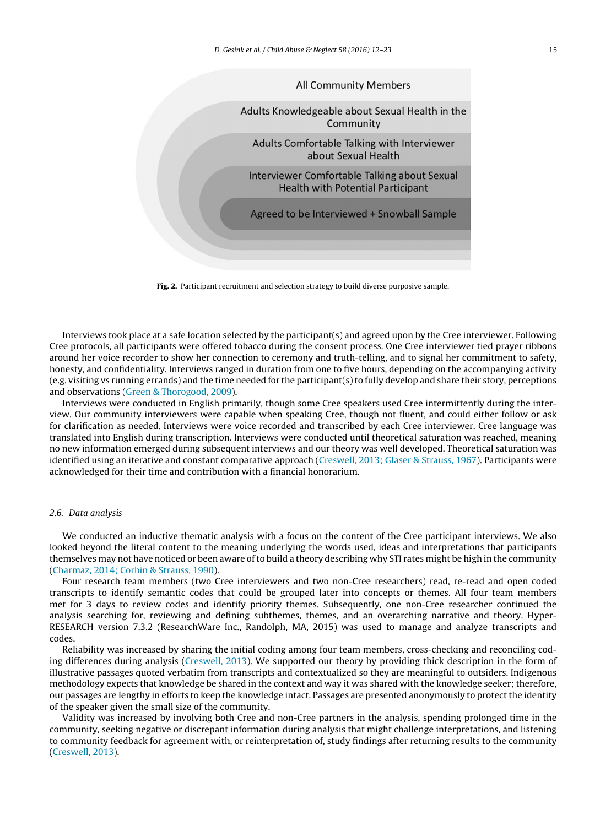#### **All Community Members**

<span id="page-3-0"></span>Adults Knowledgeable about Sexual Health in the Community

Adults Comfortable Talking with Interviewer about Sexual Health

Interviewer Comfortable Talking about Sexual **Health with Potential Participant** 

Agreed to be Interviewed + Snowball Sample

**Fig. 2.** Participant recruitment and selection strategy to build diverse purposive sample.

Interviews took place at a safe location selected by the participant(s) and agreed upon by the Cree interviewer. Following Cree protocols, all participants were offered tobacco during the consent process. One Cree interviewer tied prayer ribbons around her voice recorder to show her connection to ceremony and truth-telling, and to signal her commitment to safety, honesty, and confidentiality. Interviews ranged in duration from one to five hours, depending on the accompanying activity  $(e.g.$  visiting vs running errands) and the time needed for the participant(s) to fully develop and share their story, perceptions and observations [\(Green](#page-10-0) [&](#page-10-0) [Thorogood,](#page-10-0) [2009\).](#page-10-0)

Interviews were conducted in English primarily, though some Cree speakers used Cree intermittently during the interview. Our community interviewers were capable when speaking Cree, though not fluent, and could either follow or ask for clarification as needed. Interviews were voice recorded and transcribed by each Cree interviewer. Cree language was translated into English during transcription. Interviews were conducted until theoretical saturation was reached, meaning no new information emerged during subsequent interviews and our theory was well developed. Theoretical saturation was identified using an iterative and constant comparative approach ([Creswell,](#page-10-0) [2013;](#page-10-0) [Glaser](#page-10-0) [&](#page-10-0) [Strauss,](#page-10-0) [1967\).](#page-10-0) Participants were acknowledged for their time and contribution with a financial honorarium.

### 2.6. Data analysis

We conducted an inductive thematic analysis with a focus on the content of the Cree participant interviews. We also looked beyond the literal content to the meaning underlying the words used, ideas and interpretations that participants themselves may not have noticed or been aware ofto build a theory describing why STI rates might be high in the community [\(Charmaz,](#page-10-0) [2014;](#page-10-0) [Corbin](#page-10-0) [&](#page-10-0) [Strauss,](#page-10-0) [1990\).](#page-10-0)

Four research team members (two Cree interviewers and two non-Cree researchers) read, re-read and open coded transcripts to identify semantic codes that could be grouped later into concepts or themes. All four team members met for 3 days to review codes and identify priority themes. Subsequently, one non-Cree researcher continued the analysis searching for, reviewing and defining subthemes, themes, and an overarching narrative and theory. Hyper-RESEARCH version 7.3.2 (ResearchWare Inc., Randolph, MA, 2015) was used to manage and analyze transcripts and codes.

Reliability was increased by sharing the initial coding among four team members, cross-checking and reconciling coding differences during analysis ([Creswell,](#page-10-0) [2013\).](#page-10-0) We supported our theory by providing thick description in the form of illustrative passages quoted verbatim from transcripts and contextualized so they are meaningful to outsiders. Indigenous methodology expects that knowledge be shared in the context and way it was shared with the knowledge seeker; therefore, our passages are lengthy in efforts to keep the knowledge intact. Passages are presented anonymously to protect the identity of the speaker given the small size of the community.

Validity was increased by involving both Cree and non-Cree partners in the analysis, spending prolonged time in the community, seeking negative or discrepant information during analysis that might challenge interpretations, and listening to community feedback for agreement with, or reinterpretation of, study findings after returning results to the community [\(Creswell,](#page-10-0) [2013\).](#page-10-0)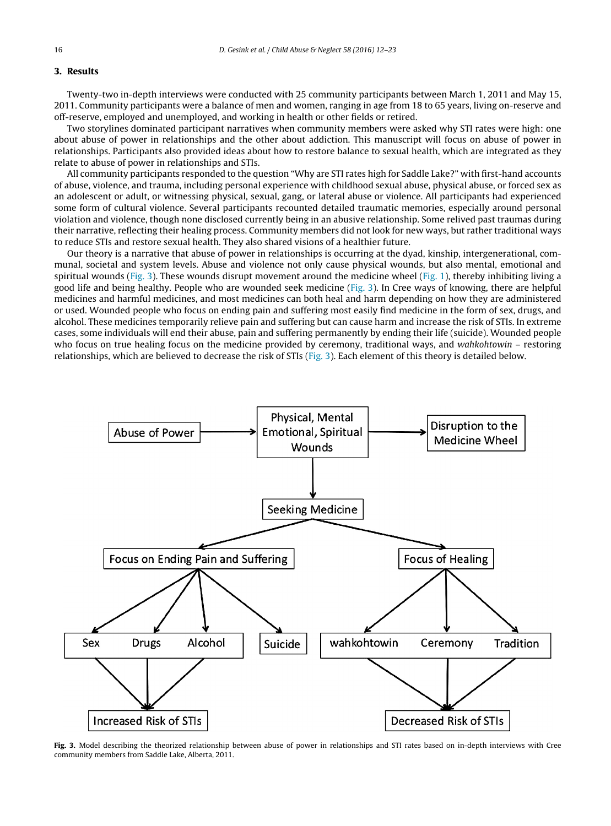# <span id="page-4-0"></span>**3. Results**

Twenty-two in-depth interviews were conducted with 25 community participants between March 1, 2011 and May 15, 2011. Community participants were a balance of men and women, ranging in age from 18 to 65 years, living on-reserve and off-reserve, employed and unemployed, and working in health or other fields or retired.

Two storylines dominated participant narratives when community members were asked why STI rates were high: one about abuse of power in relationships and the other about addiction. This manuscript will focus on abuse of power in relationships. Participants also provided ideas about how to restore balance to sexual health, which are integrated as they relate to abuse of power in relationships and STIs.

All community participants responded to the question "Why are STI rates high for Saddle Lake?" with first-hand accounts of abuse, violence, and trauma, including personal experience with childhood sexual abuse, physical abuse, or forced sex as an adolescent or adult, or witnessing physical, sexual, gang, or lateral abuse or violence. All participants had experienced some form of cultural violence. Several participants recounted detailed traumatic memories, especially around personal violation and violence, though none disclosed currently being in an abusive relationship. Some relived past traumas during their narrative, reflecting their healing process. Community members did not look for new ways, but rather traditional ways to reduce STIs and restore sexual health. They also shared visions of a healthier future.

Our theory is a narrative that abuse of power in relationships is occurring at the dyad, kinship, intergenerational, communal, societal and system levels. Abuse and violence not only cause physical wounds, but also mental, emotional and spiritual wounds [\(Fig.](#page-2-0) 3). These wounds disrupt movement around the medicine wheel (Fig. 1), thereby inhibiting living a good life and being healthy. People who are wounded seek medicine (Fig. 3). In Cree ways of knowing, there are helpful medicines and harmful medicines, and most medicines can both heal and harm depending on how they are administered or used. Wounded people who focus on ending pain and suffering most easily find medicine in the form of sex, drugs, and alcohol. These medicines temporarily relieve pain and suffering but can cause harm and increase the risk of STIs. In extreme cases, some individuals will end their abuse, pain and suffering permanently by ending their life (suicide). Wounded people who focus on true healing focus on the medicine provided by ceremony, traditional ways, and wahkohtowin – restoring relationships, which are believed to decrease the risk of STIs (Fig. 3). Each element of this theory is detailed below.



**Fig. 3.** Model describing the theorized relationship between abuse of power in relationships and STI rates based on in-depth interviews with Cree community members from Saddle Lake, Alberta, 2011.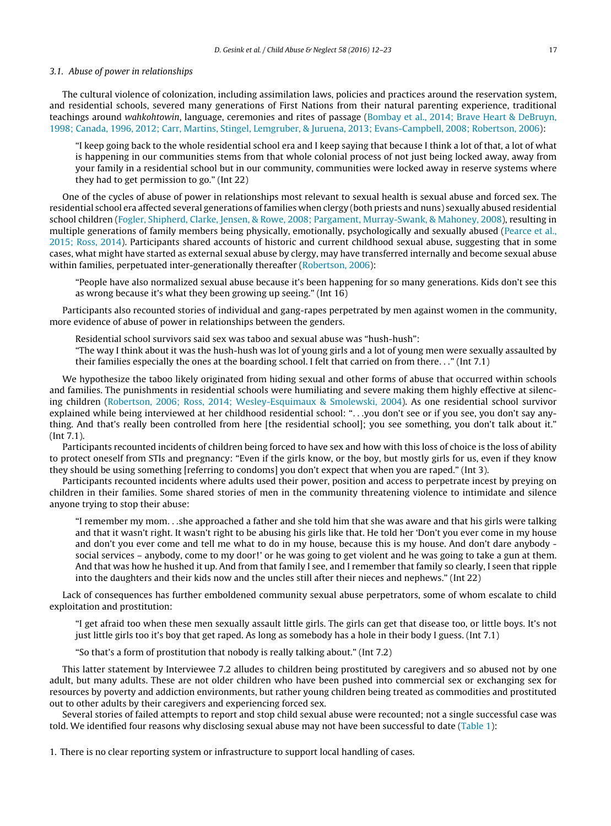# 3.1. Abuse of power in relationships

The cultural violence of colonization, including assimilation laws, policies and practices around the reservation system, and residential schools, severed many generations of First Nations from their natural parenting experience, traditional teachings around wahkohtowin, language, ceremonies and rites of passage [\(Bombay](#page-9-0) et [al.,](#page-9-0) [2014;](#page-9-0) [Brave](#page-9-0) [Heart](#page-9-0) [&](#page-9-0) [DeBruyn,](#page-9-0) [1998;](#page-9-0) [Canada,](#page-9-0) [1996,](#page-9-0) [2012;](#page-9-0) [Carr,](#page-9-0) [Martins,](#page-9-0) [Stingel,](#page-9-0) [Lemgruber,](#page-9-0) [&](#page-9-0) [Juruena,](#page-9-0) [2013;](#page-9-0) [Evans-Campbell,](#page-9-0) [2008;](#page-9-0) [Robertson,](#page-9-0) [2006\):](#page-9-0)

"I keep going back to the whole residential school era and I keep saying that because I think a lot of that, a lot of what is happening in our communities stems from that whole colonial process of not just being locked away, away from your family in a residential school but in our community, communities were locked away in reserve systems where they had to get permission to go." (Int 22)

One of the cycles of abuse of power in relationships most relevant to sexual health is sexual abuse and forced sex. The residential school era affected several generations of families when clergy (both priests and nuns) sexually abused residential school children [\(Fogler,](#page-10-0) [Shipherd,](#page-10-0) [Clarke,](#page-10-0) [Jensen,](#page-10-0) [&](#page-10-0) [Rowe,](#page-10-0) [2008;](#page-10-0) [Pargament,](#page-10-0) [Murray-Swank,](#page-10-0) [&](#page-10-0) [Mahoney,](#page-10-0) [2008\),](#page-10-0) resulting in multiple generations of family members being physically, emotionally, psychologically and sexually abused [\(Pearce](#page-10-0) et [al.,](#page-10-0) [2015;](#page-10-0) [Ross,](#page-10-0) [2014\).](#page-10-0) Participants shared accounts of historic and current childhood sexual abuse, suggesting that in some cases, what might have started as external sexual abuse by clergy, may have transferred internally and become sexual abuse within families, perpetuated inter-generationally thereafter [\(Robertson,](#page-11-0) [2006\):](#page-11-0)

"People have also normalized sexual abuse because it's been happening for so many generations. Kids don't see this as wrong because it's what they been growing up seeing." (Int 16)

Participants also recounted stories of individual and gang-rapes perpetrated by men against women in the community, more evidence of abuse of power in relationships between the genders.

Residential school survivors said sex was taboo and sexual abuse was "hush-hush":

"The way I think about it was the hush-hush was lot of young girls and a lot of young men were sexually assaulted by their families especially the ones at the boarding school. I felt that carried on from there. . ." (Int 7.1)

We hypothesize the taboo likely originated from hiding sexual and other forms of abuse that occurred within schools and families. The punishments in residential schools were humiliating and severe making them highly effective at silencing children ([Robertson,](#page-11-0) [2006;](#page-11-0) [Ross,](#page-11-0) [2014;](#page-11-0) [Wesley-Esquimaux](#page-11-0) [&](#page-11-0) [Smolewski,](#page-11-0) [2004\).](#page-11-0) As one residential school survivor explained while being interviewed at her childhood residential school: ". . .you don't see or if you see, you don't say anything. And that's really been controlled from here [the residential school]; you see something, you don't talk about it." (Int 7.1).

Participants recounted incidents of children being forced to have sex and how with this loss of choice is the loss of ability to protect oneself from STIs and pregnancy: "Even if the girls know, or the boy, but mostly girls for us, even if they know they should be using something [referring to condoms] you don't expect that when you are raped." (Int 3).

Participants recounted incidents where adults used their power, position and access to perpetrate incest by preying on children in their families. Some shared stories of men in the community threatening violence to intimidate and silence anyone trying to stop their abuse:

"I remember my mom. . .she approached a father and she told him that she was aware and that his girls were talking and that it wasn't right. It wasn't right to be abusing his girls like that. He told her 'Don't you ever come in my house and don't you ever come and tell me what to do in my house, because this is my house. And don't dare anybody social services – anybody, come to my door!' or he was going to get violent and he was going to take a gun at them. And that was how he hushed it up. And from that family I see, and I remember that family so clearly, I seen that ripple into the daughters and their kids now and the uncles still after their nieces and nephews." (Int 22)

Lack of consequences has further emboldened community sexual abuse perpetrators, some of whom escalate to child exploitation and prostitution:

"I get afraid too when these men sexually assault little girls. The girls can get that disease too, or little boys. It's not just little girls too it's boy that get raped. As long as somebody has a hole in their body I guess. (Int 7.1)

"So that's a form of prostitution that nobody is really talking about." (Int 7.2)

This latter statement by Interviewee 7.2 alludes to children being prostituted by caregivers and so abused not by one adult, but many adults. These are not older children who have been pushed into commercial sex or exchanging sex for resources by poverty and addiction environments, but rather young children being treated as commodities and prostituted out to other adults by their caregivers and experiencing forced sex.

Several stories of failed attempts to report and stop child sexual abuse were recounted; not a single successful case was told. We identified four reasons why disclosing sexual abuse may not have been successful to date [\(Table](#page-6-0) 1):

1. There is no clear reporting system or infrastructure to support local handling of cases.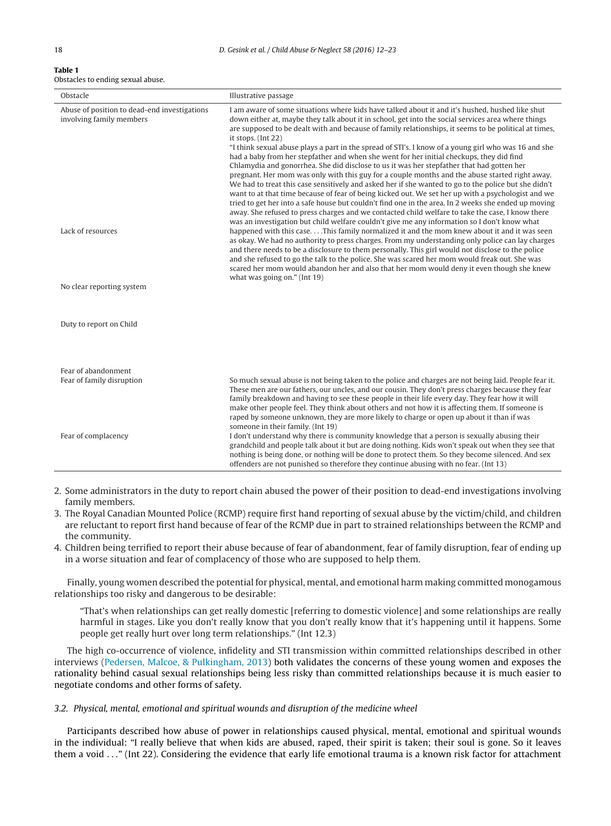# <span id="page-6-0"></span>**Table 1**

| Obstacle                                                                 | Illustrative passage                                                                                                                                                                                                                                                                                                                                                                                                                                                                                                                                                                                                                                                                                                                                                                                                                                                                                                                                                                                                                                                                                                                                              |
|--------------------------------------------------------------------------|-------------------------------------------------------------------------------------------------------------------------------------------------------------------------------------------------------------------------------------------------------------------------------------------------------------------------------------------------------------------------------------------------------------------------------------------------------------------------------------------------------------------------------------------------------------------------------------------------------------------------------------------------------------------------------------------------------------------------------------------------------------------------------------------------------------------------------------------------------------------------------------------------------------------------------------------------------------------------------------------------------------------------------------------------------------------------------------------------------------------------------------------------------------------|
| Abuse of position to dead-end investigations<br>involving family members | I am aware of some situations where kids have talked about it and it's hushed, hushed like shut<br>down either at, maybe they talk about it in school, get into the social services area where things<br>are supposed to be dealt with and because of family relationships, it seems to be political at times,<br>it stops. (Int 22)<br>"I think sexual abuse plays a part in the spread of STI's. I know of a young girl who was 16 and she<br>had a baby from her stepfather and when she went for her initial checkups, they did find<br>Chlamydia and gonorrhea. She did disclose to us it was her stepfather that had gotten her<br>pregnant. Her mom was only with this guy for a couple months and the abuse started right away.<br>We had to treat this case sensitively and asked her if she wanted to go to the police but she didn't<br>want to at that time because of fear of being kicked out. We set her up with a psychologist and we<br>tried to get her into a safe house but couldn't find one in the area. In 2 weeks she ended up moving<br>away. She refused to press charges and we contacted child welfare to take the case, I know there |
| Lack of resources                                                        | was an investigation but child welfare couldn't give me any information so I don't know what<br>happened with this caseThis family normalized it and the mom knew about it and it was seen<br>as okay. We had no authority to press charges. From my understanding only police can lay charges<br>and there needs to be a disclosure to them personally. This girl would not disclose to the police<br>and she refused to go the talk to the police. She was scared her mom would freak out. She was<br>scared her mom would abandon her and also that her mom would deny it even though she knew<br>what was going on." (Int 19)                                                                                                                                                                                                                                                                                                                                                                                                                                                                                                                                 |
| No clear reporting system                                                |                                                                                                                                                                                                                                                                                                                                                                                                                                                                                                                                                                                                                                                                                                                                                                                                                                                                                                                                                                                                                                                                                                                                                                   |
| Duty to report on Child                                                  |                                                                                                                                                                                                                                                                                                                                                                                                                                                                                                                                                                                                                                                                                                                                                                                                                                                                                                                                                                                                                                                                                                                                                                   |
| Fear of abandonment<br>Fear of family disruption                         | So much sexual abuse is not being taken to the police and charges are not being laid. People fear it.<br>These men are our fathers, our uncles, and our cousin. They don't press charges because they fear<br>family breakdown and having to see these people in their life every day. They fear how it will<br>make other people feel. They think about others and not how it is affecting them. If someone is<br>raped by someone unknown, they are more likely to charge or open up about it than if was<br>someone in their family. (Int 19)                                                                                                                                                                                                                                                                                                                                                                                                                                                                                                                                                                                                                  |
| Fear of complacency                                                      | I don't understand why there is community knowledge that a person is sexually abusing their<br>grandchild and people talk about it but are doing nothing. Kids won't speak out when they see that<br>nothing is being done, or nothing will be done to protect them. So they become silenced, And sex<br>offenders are not punished so therefore they continue abusing with no fear. (Int 13)                                                                                                                                                                                                                                                                                                                                                                                                                                                                                                                                                                                                                                                                                                                                                                     |

2. Some administrators in the duty to report chain abused the power of their position to dead-end investigations involving family members.

- 3. The Royal Canadian Mounted Police (RCMP) require first hand reporting of sexual abuse by the victim/child, and children are reluctant to report first hand because of fear of the RCMP due in part to strained relationships between the RCMP and the community.
- 4. Children being terrified to report their abuse because of fear of abandonment, fear of family disruption, fear of ending up in a worse situation and fear of complacency of those who are supposed to help them.

Finally, young women described the potential for physical, mental, and emotional harm making committed monogamous relationships too risky and dangerous to be desirable:

"That's when relationships can get really domestic [referring to domestic violence] and some relationships are really harmful in stages. Like you don't really know that you don't really know that it's happening until it happens. Some people get really hurt over long term relationships." (Int 12.3)

The high co-occurrence of violence, infidelity and STI transmission within committed relationships described in other interviews ([Pedersen,](#page-10-0) [Malcoe,](#page-10-0) [&](#page-10-0) [Pulkingham,](#page-10-0) [2013\)](#page-10-0) both validates the concerns of these young women and exposes the rationality behind casual sexual relationships being less risky than committed relationships because it is much easier to negotiate condoms and other forms of safety.

#### 3.2. Physical, mental, emotional and spiritual wounds and disruption of the medicine wheel

Participants described how abuse of power in relationships caused physical, mental, emotional and spiritual wounds in the individual: "I really believe that when kids are abused, raped, their spirit is taken; their soul is gone. So it leaves them a void . . ." (Int 22). Considering the evidence that early life emotional trauma is a known risk factor for attachment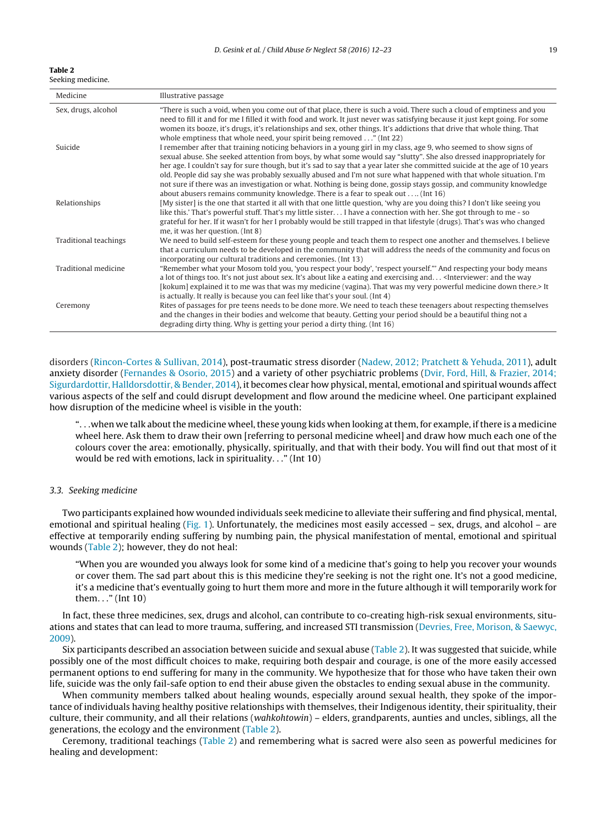#### **Table 2** Seeking medicine.

| Medicine              | Illustrative passage                                                                                                                                                                                                                                                                                                                                                                                                                                                                                                                                                                                                 |
|-----------------------|----------------------------------------------------------------------------------------------------------------------------------------------------------------------------------------------------------------------------------------------------------------------------------------------------------------------------------------------------------------------------------------------------------------------------------------------------------------------------------------------------------------------------------------------------------------------------------------------------------------------|
| Sex, drugs, alcohol   | "There is such a void, when you come out of that place, there is such a void. There such a cloud of emptiness and you<br>need to fill it and for me I filled it with food and work. It just never was satisfying because it just kept going. For some<br>women its booze, it's drugs, it's relationships and sex, other things. It's addictions that drive that whole thing. That<br>whole emptiness that whole need, your spirit being removed $\dots$ " (Int 22)                                                                                                                                                   |
| Suicide               | I remember after that training noticing behaviors in a young girl in my class, age 9, who seemed to show signs of<br>sexual abuse. She seeked attention from boys, by what some would say "slutty". She also dressed inappropriately for<br>her age. I couldn't say for sure though, but it's sad to say that a year later she committed suicide at the age of 10 years<br>old. People did say she was probably sexually abused and I'm not sure what happened with that whole situation. I'm<br>not sure if there was an investigation or what. Nothing is being done, gossip stays gossip, and community knowledge |
| Relationships         | about abusers remains community knowledge. There is a fear to speak out $\dots$ (Int 16)<br>[My sister] is the one that started it all with that one little question, 'why are you doing this? I don't like seeing you<br>like this.' That's powerful stuff. That's my little sister I have a connection with her. She got through to me - so<br>grateful for her. If it wasn't for her I probably would be still trapped in that lifestyle (drugs). That's was who changed<br>me, it was her question. (Int 8)                                                                                                      |
| Traditional teachings | We need to build self-esteem for these young people and teach them to respect one another and themselves. I believe<br>that a curriculum needs to be developed in the community that will address the needs of the community and focus on<br>incorporating our cultural traditions and ceremonies. (Int 13)                                                                                                                                                                                                                                                                                                          |
| Traditional medicine  | "Remember what your Mosom told you, 'you respect your body', 'respect yourself." And respecting your body means<br>a lot of things too. It's not just about sex. It's about like a eating and exercising and <interviewer: and="" the="" way<br="">[kokum] explained it to me was that was my medicine (vagina). That was my very powerful medicine down there.&gt; It<br/>is actually. It really is because you can feel like that's your soul. (Int 4)</interviewer:>                                                                                                                                              |
| Ceremony              | Rites of passages for pre teens needs to be done more. We need to teach these teenagers about respecting themselves<br>and the changes in their bodies and welcome that beauty. Getting your period should be a beautiful thing not a<br>degrading dirty thing. Why is getting your period a dirty thing. (Int 16)                                                                                                                                                                                                                                                                                                   |

disorders ([Rincon-Cortes](#page-10-0) [&](#page-10-0) [Sullivan,](#page-10-0) [2014\),](#page-10-0) post-traumatic stress disorder ([Nadew,](#page-10-0) [2012;](#page-10-0) [Pratchett](#page-10-0) [&](#page-10-0) [Yehuda,](#page-10-0) [2011\),](#page-10-0) adult anxiety disorder [\(Fernandes](#page-10-0) [&](#page-10-0) [Osorio,](#page-10-0) [2015\)](#page-10-0) and a variety of other psychiatric problems ([Dvir,](#page-10-0) [Ford,](#page-10-0) [Hill,](#page-10-0) [&](#page-10-0) [Frazier,](#page-10-0) [2014;](#page-10-0) [Sigurdardottir,](#page-10-0) [Halldorsdottir,](#page-10-0) [&](#page-10-0) [Bender,](#page-10-0) [2014\),](#page-10-0) it becomes clear how physical, mental, emotional and spiritual wounds affect various aspects of the self and could disrupt development and flow around the medicine wheel. One participant explained how disruption of the medicine wheel is visible in the youth:

"...when we talk about the medicine wheel, these young kids when looking at them, for example, if there is a medicine wheel here. Ask them to draw their own [referring to personal medicine wheel] and draw how much each one of the colours cover the area: emotionally, physically, spiritually, and that with their body. You will find out that most of it would be red with emotions, lack in spirituality. . ." (Int 10)

### 3.3. Seeking medicine

Two participants explained how wounded individuals seek medicine to alleviate their suffering and find physical, mental, emotional and spiritual healing ([Fig.](#page-2-0) 1). Unfortunately, the medicines most easily accessed – sex, drugs, and alcohol – are effective at temporarily ending suffering by numbing pain, the physical manifestation of mental, emotional and spiritual wounds (Table 2); however, they do not heal:

"When you are wounded you always look for some kind of a medicine that's going to help you recover your wounds or cover them. The sad part about this is this medicine they're seeking is not the right one. It's not a good medicine, it's a medicine that's eventually going to hurt them more and more in the future although it will temporarily work for them. . ." (Int 10)

In fact, these three medicines, sex, drugs and alcohol, can contribute to co-creating high-risk sexual environments, situations and states that can lead to more trauma, suffering, and increased STI transmission ([Devries,](#page-10-0) [Free,](#page-10-0) [Morison,](#page-10-0) [&](#page-10-0) [Saewyc,](#page-10-0) [2009\).](#page-10-0)

Six participants described an association between suicide and sexual abuse (Table 2). It was suggested that suicide, while possibly one of the most difficult choices to make, requiring both despair and courage, is one of the more easily accessed permanent options to end suffering for many in the community. We hypothesize that for those who have taken their own life, suicide was the only fail-safe option to end their abuse given the obstacles to ending sexual abuse in the community.

When community members talked about healing wounds, especially around sexual health, they spoke of the importance of individuals having healthy positive relationships with themselves, their Indigenous identity, their spirituality, their culture, their community, and all their relations (wahkohtowin) – elders, grandparents, aunties and uncles, siblings, all the generations, the ecology and the environment (Table 2).

Ceremony, traditional teachings (Table 2) and remembering what is sacred were also seen as powerful medicines for healing and development: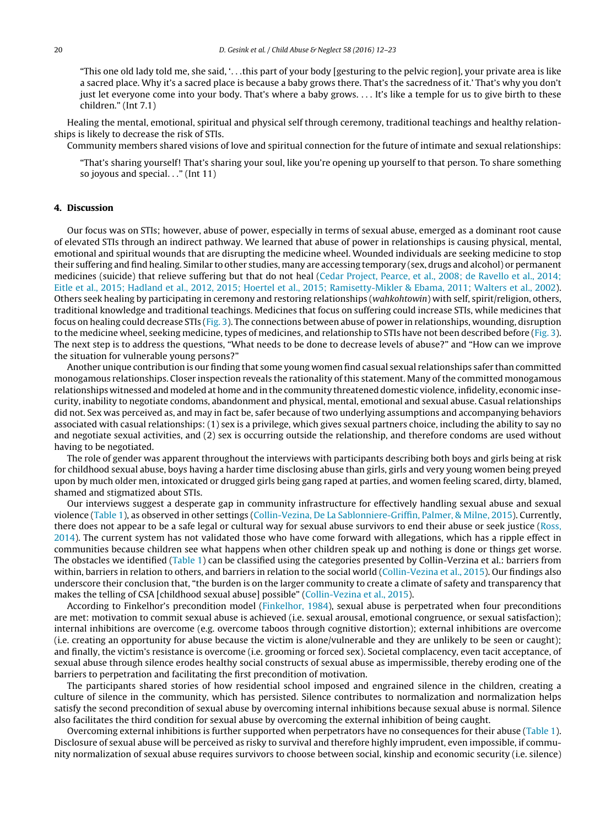"This one old lady told me, she said, '. . .this part of your body [gesturing to the pelvic region], your private area is like a sacred place. Why it's a sacred place is because a baby grows there. That's the sacredness of it.' That's why you don't just let everyone come into your body. That's where a baby grows. . . . It's like a temple for us to give birth to these children." (Int 7.1)

Healing the mental, emotional, spiritual and physical self through ceremony, traditional teachings and healthy relationships is likely to decrease the risk of STIs.

Community members shared visions of love and spiritual connection for the future of intimate and sexual relationships:

"That's sharing yourself! That's sharing your soul, like you're opening up yourself to that person. To share something so joyous and special. . ." (Int 11)

# **4. Discussion**

Our focus was on STIs; however, abuse of power, especially in terms of sexual abuse, emerged as a dominant root cause of elevated STIs through an indirect pathway. We learned that abuse of power in relationships is causing physical, mental, emotional and spiritual wounds that are disrupting the medicine wheel. Wounded individuals are seeking medicine to stop their suffering and find healing. Similar to other studies, many are accessing temporary (sex, drugs and alcohol) or permanent medicines (suicide) that relieve suffering but that do not heal [\(Cedar](#page-10-0) [Project,](#page-10-0) [Pearce,](#page-10-0) et [al.,](#page-10-0) [2008;](#page-10-0) [de](#page-10-0) [Ravello](#page-10-0) et [al.,](#page-10-0) [2014;](#page-10-0) [Eitle](#page-10-0) et [al.,](#page-10-0) [2015;](#page-10-0) [Hadland](#page-10-0) et [al.,](#page-10-0) [2012,](#page-10-0) [2015;](#page-10-0) [Hoertel](#page-10-0) et [al.,](#page-10-0) [2015;](#page-10-0) [Ramisetty-Mikler](#page-10-0) [&](#page-10-0) [Ebama,](#page-10-0) [2011;](#page-10-0) [Walters](#page-10-0) et [al.,](#page-10-0) [2002\).](#page-10-0) Others seek healing by participating in ceremony and restoring relationships (wahkohtowin) with self, spirit/religion, others, traditional knowledge and traditional teachings. Medicines that focus on suffering could increase STIs, while medicines that focus on healing could decrease STIs [\(Fig.](#page-4-0) 3). The connections between abuse of power in relationships, wounding, disruption to the medicine wheel, seeking medicine, types of medicines, and relationship to STIs have not been described before ([Fig.](#page-4-0) 3). The next step is to address the questions, "What needs to be done to decrease levels of abuse?" and "How can we improve the situation for vulnerable young persons?"

Another unique contribution is our finding that some young women find casual sexual relationships safer than committed monogamous relationships. Closer inspection reveals the rationality of this statement. Many of the committed monogamous relationships witnessed and modeled at home and in the community threatened domestic violence, infidelity, economic insecurity, inability to negotiate condoms, abandonment and physical, mental, emotional and sexual abuse. Casual relationships did not. Sex was perceived as, and may in fact be, safer because of two underlying assumptions and accompanying behaviors associated with casual relationships: (1) sex is a privilege, which gives sexual partners choice, including the ability to say no and negotiate sexual activities, and (2) sex is occurring outside the relationship, and therefore condoms are used without having to be negotiated.

The role of gender was apparent throughout the interviews with participants describing both boys and girls being at risk for childhood sexual abuse, boys having a harder time disclosing abuse than girls, girls and very young women being preyed upon by much older men, intoxicated or drugged girls being gang raped at parties, and women feeling scared, dirty, blamed, shamed and stigmatized about STIs.

Our interviews suggest a desperate gap in community infrastructure for effectively handling sexual abuse and sexual violence [\(Table](#page-6-0) 1), as observed in other settings ([Collin-Vezina,](#page-10-0) [De](#page-10-0) [La](#page-10-0) [Sablonniere-Griffin,](#page-10-0) [Palmer,](#page-10-0) [&](#page-10-0) [Milne,](#page-10-0) [2015\).](#page-10-0) Currently, there does not appear to be a safe legal or cultural way for sexual abuse survivors to end their abuse or seek justice [\(Ross,](#page-11-0) [2014\).](#page-11-0) The current system has not validated those who have come forward with allegations, which has a ripple effect in communities because children see what happens when other children speak up and nothing is done or things get worse. The obstacles we identified [\(Table](#page-6-0) 1) can be classified using the categories presented by Collin-Verzina et al.: barriers from within, barriers in relation to others, and barriers in relation to the social world [\(Collin-Vezina](#page-10-0) et [al.,](#page-10-0) [2015\).](#page-10-0) Our findings also underscore their conclusion that, "the burden is on the larger community to create a climate of safety and transparency that makes the telling of CSA [childhood sexual abuse] possible" [\(Collin-Vezina](#page-10-0) et [al.,](#page-10-0) [2015\).](#page-10-0)

According to Finkelhor's precondition model ([Finkelhor,](#page-10-0) [1984\),](#page-10-0) sexual abuse is perpetrated when four preconditions are met: motivation to commit sexual abuse is achieved (i.e. sexual arousal, emotional congruence, or sexual satisfaction); internal inhibitions are overcome (e.g. overcome taboos through cognitive distortion); external inhibitions are overcome (i.e. creating an opportunity for abuse because the victim is alone/vulnerable and they are unlikely to be seen or caught); and finally, the victim's resistance is overcome (i.e. grooming or forced sex). Societal complacency, even tacit acceptance, of sexual abuse through silence erodes healthy social constructs of sexual abuse as impermissible, thereby eroding one of the barriers to perpetration and facilitating the first precondition of motivation.

The participants shared stories of how residential school imposed and engrained silence in the children, creating a culture of silence in the community, which has persisted. Silence contributes to normalization and normalization helps satisfy the second precondition of sexual abuse by overcoming internal inhibitions because sexual abuse is normal. Silence also facilitates the third condition for sexual abuse by overcoming the external inhibition of being caught.

Overcoming external inhibitions is further supported when perpetrators have no consequences for their abuse [\(Table](#page-6-0) 1). Disclosure of sexual abuse will be perceived as risky to survival and therefore highly imprudent, even impossible, if community normalization of sexual abuse requires survivors to choose between social, kinship and economic security (i.e. silence)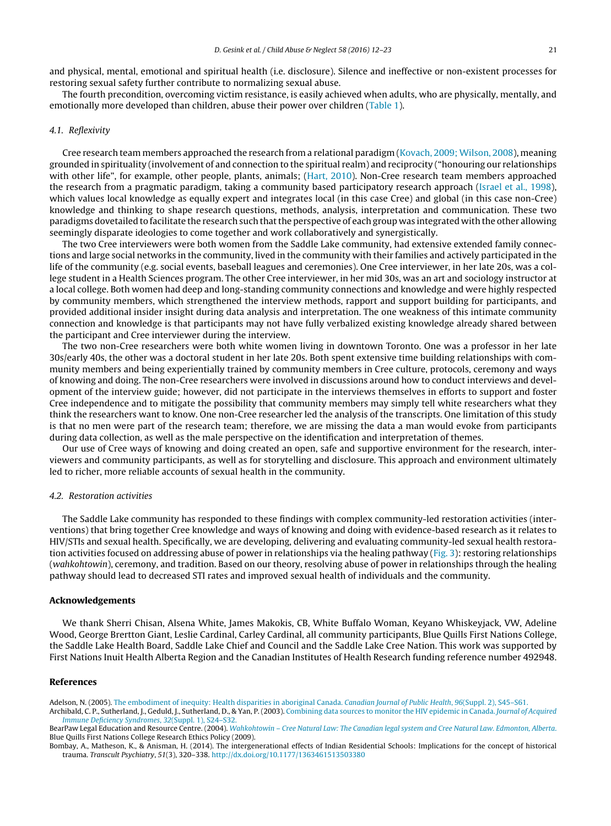<span id="page-9-0"></span>and physical, mental, emotional and spiritual health (i.e. disclosure). Silence and ineffective or non-existent processes for restoring sexual safety further contribute to normalizing sexual abuse.

The fourth precondition, overcoming victim resistance, is easily achieved when adults, who are physically, mentally, and emotionally more developed than children, abuse their power over children ([Table](#page-6-0) 1).

# 4.1. Reflexivity

Cree research team members approached the research from a relational paradigm ([Kovach,](#page-10-0) [2009;](#page-10-0) [Wilson,](#page-10-0) [2008\),](#page-10-0) meaning grounded in spirituality (involvement of and connection to the spiritual realm) and reciprocity ("honouring our relationships with other life", for example, other people, plants, animals; ([Hart,](#page-10-0) [2010\).](#page-10-0) Non-Cree research team members approached the research from a pragmatic paradigm, taking a community based participatory research approach [\(Israel](#page-10-0) et [al.,](#page-10-0) [1998\),](#page-10-0) which values local knowledge as equally expert and integrates local (in this case Cree) and global (in this case non-Cree) knowledge and thinking to shape research questions, methods, analysis, interpretation and communication. These two paradigms dovetailed to facilitate the research such thatthe perspective of each group was integrated with the other allowing seemingly disparate ideologies to come together and work collaboratively and synergistically.

The two Cree interviewers were both women from the Saddle Lake community, had extensive extended family connections and large social networks in the community, lived in the community with their families and actively participated in the life of the community (e.g. social events, baseball leagues and ceremonies). One Cree interviewer, in her late 20s, was a college student in a Health Sciences program. The other Cree interviewer, in her mid 30s, was an art and sociology instructor at a local college. Both women had deep and long-standing community connections and knowledge and were highly respected by community members, which strengthened the interview methods, rapport and support building for participants, and provided additional insider insight during data analysis and interpretation. The one weakness of this intimate community connection and knowledge is that participants may not have fully verbalized existing knowledge already shared between the participant and Cree interviewer during the interview.

The two non-Cree researchers were both white women living in downtown Toronto. One was a professor in her late 30s/early 40s, the other was a doctoral student in her late 20s. Both spent extensive time building relationships with community members and being experientially trained by community members in Cree culture, protocols, ceremony and ways of knowing and doing. The non-Cree researchers were involved in discussions around how to conduct interviews and development of the interview guide; however, did not participate in the interviews themselves in efforts to support and foster Cree independence and to mitigate the possibility that community members may simply tell white researchers what they think the researchers want to know. One non-Cree researcher led the analysis of the transcripts. One limitation of this study is that no men were part of the research team; therefore, we are missing the data a man would evoke from participants during data collection, as well as the male perspective on the identification and interpretation of themes.

Our use of Cree ways of knowing and doing created an open, safe and supportive environment for the research, interviewers and community participants, as well as for storytelling and disclosure. This approach and environment ultimately led to richer, more reliable accounts of sexual health in the community.

# 4.2. Restoration activities

The Saddle Lake community has responded to these findings with complex community-led restoration activities (interventions) that bring together Cree knowledge and ways of knowing and doing with evidence-based research as it relates to HIV/STIs and sexual health. Specifically, we are developing, delivering and evaluating community-led sexual health restoration activities focused on addressing abuse of power in relationships via the healing pathway ([Fig.](#page-4-0) 3): restoring relationships (wahkohtowin), ceremony, and tradition. Based on our theory, resolving abuse of power in relationships through the healing pathway should lead to decreased STI rates and improved sexual health of individuals and the community.

#### **Acknowledgements**

We thank Sherri Chisan, Alsena White, James Makokis, CB, White Buffalo Woman, Keyano Whiskeyjack, VW, Adeline Wood, George Brertton Giant, Leslie Cardinal, Carley Cardinal, all community participants, Blue Quills First Nations College, the Saddle Lake Health Board, Saddle Lake Chief and Council and the Saddle Lake Cree Nation. This work was supported by First Nations Inuit Health Alberta Region and the Canadian Institutes of Health Research funding reference number 492948.

#### **References**

Adelson, N. (2005). [The](http://refhub.elsevier.com/S0145-2134(16)30102-8/sbref0005) [embodiment](http://refhub.elsevier.com/S0145-2134(16)30102-8/sbref0005) [of](http://refhub.elsevier.com/S0145-2134(16)30102-8/sbref0005) [inequity:](http://refhub.elsevier.com/S0145-2134(16)30102-8/sbref0005) [Health](http://refhub.elsevier.com/S0145-2134(16)30102-8/sbref0005) [disparities](http://refhub.elsevier.com/S0145-2134(16)30102-8/sbref0005) [in](http://refhub.elsevier.com/S0145-2134(16)30102-8/sbref0005) [aboriginal](http://refhub.elsevier.com/S0145-2134(16)30102-8/sbref0005) [Canada.](http://refhub.elsevier.com/S0145-2134(16)30102-8/sbref0005) [Canadian](http://refhub.elsevier.com/S0145-2134(16)30102-8/sbref0005) [Journal](http://refhub.elsevier.com/S0145-2134(16)30102-8/sbref0005) [of](http://refhub.elsevier.com/S0145-2134(16)30102-8/sbref0005) [Public](http://refhub.elsevier.com/S0145-2134(16)30102-8/sbref0005) [Health](http://refhub.elsevier.com/S0145-2134(16)30102-8/sbref0005)[,](http://refhub.elsevier.com/S0145-2134(16)30102-8/sbref0005) [96](http://refhub.elsevier.com/S0145-2134(16)30102-8/sbref0005)[\(Suppl.](http://refhub.elsevier.com/S0145-2134(16)30102-8/sbref0005) [2\),](http://refhub.elsevier.com/S0145-2134(16)30102-8/sbref0005) [S45](http://refhub.elsevier.com/S0145-2134(16)30102-8/sbref0005)–[S61.](http://refhub.elsevier.com/S0145-2134(16)30102-8/sbref0005) Archibald, C. P., Sutherland, J., Geduld, J., Sutherland, D., & Yan, P. (2003). [Combining](http://refhub.elsevier.com/S0145-2134(16)30102-8/sbref0010) [data](http://refhub.elsevier.com/S0145-2134(16)30102-8/sbref0010) [sources](http://refhub.elsevier.com/S0145-2134(16)30102-8/sbref0010) [to](http://refhub.elsevier.com/S0145-2134(16)30102-8/sbref0010) [monitor](http://refhub.elsevier.com/S0145-2134(16)30102-8/sbref0010) [the](http://refhub.elsevier.com/S0145-2134(16)30102-8/sbref0010) [HIV](http://refhub.elsevier.com/S0145-2134(16)30102-8/sbref0010) [epidemic](http://refhub.elsevier.com/S0145-2134(16)30102-8/sbref0010) [in](http://refhub.elsevier.com/S0145-2134(16)30102-8/sbref0010) [Canada.](http://refhub.elsevier.com/S0145-2134(16)30102-8/sbref0010) [Journal](http://refhub.elsevier.com/S0145-2134(16)30102-8/sbref0010) [of](http://refhub.elsevier.com/S0145-2134(16)30102-8/sbref0010) [Acquired](http://refhub.elsevier.com/S0145-2134(16)30102-8/sbref0010) [Immune](http://refhub.elsevier.com/S0145-2134(16)30102-8/sbref0010) [Deficiency](http://refhub.elsevier.com/S0145-2134(16)30102-8/sbref0010) [Syndromes](http://refhub.elsevier.com/S0145-2134(16)30102-8/sbref0010)[,](http://refhub.elsevier.com/S0145-2134(16)30102-8/sbref0010) [32](http://refhub.elsevier.com/S0145-2134(16)30102-8/sbref0010)[\(Suppl.](http://refhub.elsevier.com/S0145-2134(16)30102-8/sbref0010) [1\),](http://refhub.elsevier.com/S0145-2134(16)30102-8/sbref0010) [S24–S32.](http://refhub.elsevier.com/S0145-2134(16)30102-8/sbref0010)

BearPaw Legal Education and Resource Centre. (2004). [Wahkohtowin](http://refhub.elsevier.com/S0145-2134(16)30102-8/sbref0015) [–](http://refhub.elsevier.com/S0145-2134(16)30102-8/sbref0015) [Cree](http://refhub.elsevier.com/S0145-2134(16)30102-8/sbref0015) [Natural](http://refhub.elsevier.com/S0145-2134(16)30102-8/sbref0015) [Law:](http://refhub.elsevier.com/S0145-2134(16)30102-8/sbref0015) [The](http://refhub.elsevier.com/S0145-2134(16)30102-8/sbref0015) [Canadian](http://refhub.elsevier.com/S0145-2134(16)30102-8/sbref0015) [legal](http://refhub.elsevier.com/S0145-2134(16)30102-8/sbref0015) [system](http://refhub.elsevier.com/S0145-2134(16)30102-8/sbref0015) [and](http://refhub.elsevier.com/S0145-2134(16)30102-8/sbref0015) [Cree](http://refhub.elsevier.com/S0145-2134(16)30102-8/sbref0015) [Natural](http://refhub.elsevier.com/S0145-2134(16)30102-8/sbref0015) [Law.](http://refhub.elsevier.com/S0145-2134(16)30102-8/sbref0015) [Edmonton,](http://refhub.elsevier.com/S0145-2134(16)30102-8/sbref0015) [Alberta](http://refhub.elsevier.com/S0145-2134(16)30102-8/sbref0015). Blue Quills First Nations College Research Ethics Policy (2009).

Bombay, A., Matheson, K., & Anisman, H. (2014). The intergenerational effects of Indian Residential Schools: Implications for the concept of historical trauma. Transcult Psychiatry, 51(3), 320–338. [http://dx.doi.org/10.1177/1363461513503380](dx.doi.org/10.1177/1363461513503380)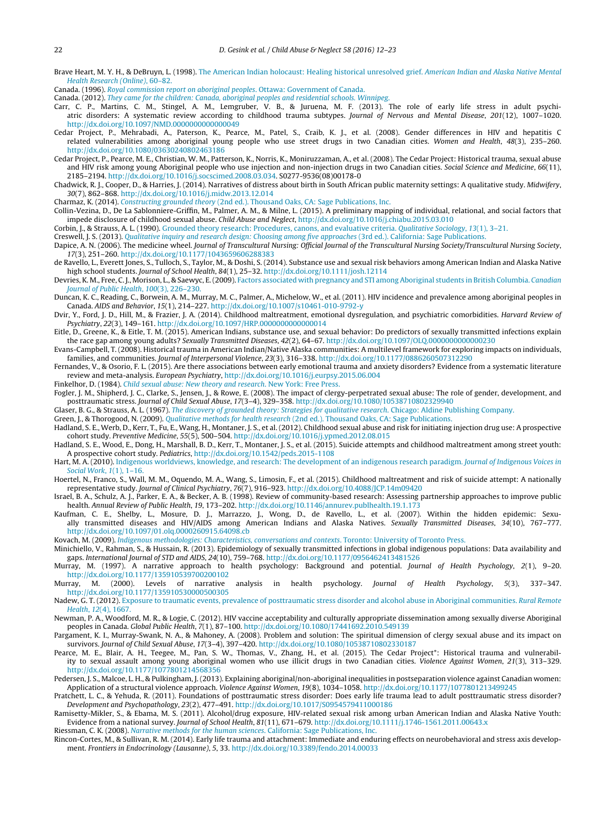<span id="page-10-0"></span>Brave Heart, M. Y. H., & DeBruyn, L. (1998). [The](http://refhub.elsevier.com/S0145-2134(16)30102-8/sbref0030) [American](http://refhub.elsevier.com/S0145-2134(16)30102-8/sbref0030) [Indian](http://refhub.elsevier.com/S0145-2134(16)30102-8/sbref0030) [holocaust:](http://refhub.elsevier.com/S0145-2134(16)30102-8/sbref0030) [Healing](http://refhub.elsevier.com/S0145-2134(16)30102-8/sbref0030) [historical](http://refhub.elsevier.com/S0145-2134(16)30102-8/sbref0030) [unresolved](http://refhub.elsevier.com/S0145-2134(16)30102-8/sbref0030) [grief.](http://refhub.elsevier.com/S0145-2134(16)30102-8/sbref0030) [American](http://refhub.elsevier.com/S0145-2134(16)30102-8/sbref0030) [Indian](http://refhub.elsevier.com/S0145-2134(16)30102-8/sbref0030) [and](http://refhub.elsevier.com/S0145-2134(16)30102-8/sbref0030) [Alaska](http://refhub.elsevier.com/S0145-2134(16)30102-8/sbref0030) [Native](http://refhub.elsevier.com/S0145-2134(16)30102-8/sbref0030) [Mental](http://refhub.elsevier.com/S0145-2134(16)30102-8/sbref0030) [Health](http://refhub.elsevier.com/S0145-2134(16)30102-8/sbref0030) [Research](http://refhub.elsevier.com/S0145-2134(16)30102-8/sbref0030) [\(Online\)](http://refhub.elsevier.com/S0145-2134(16)30102-8/sbref0030)[,](http://refhub.elsevier.com/S0145-2134(16)30102-8/sbref0030) [60](http://refhub.elsevier.com/S0145-2134(16)30102-8/sbref0030)–[82.](http://refhub.elsevier.com/S0145-2134(16)30102-8/sbref0030)

Canada. (1996). [Royal](http://refhub.elsevier.com/S0145-2134(16)30102-8/sbref0035) [commission](http://refhub.elsevier.com/S0145-2134(16)30102-8/sbref0035) [report](http://refhub.elsevier.com/S0145-2134(16)30102-8/sbref0035) [on](http://refhub.elsevier.com/S0145-2134(16)30102-8/sbref0035) [aboriginal](http://refhub.elsevier.com/S0145-2134(16)30102-8/sbref0035) [peoples](http://refhub.elsevier.com/S0145-2134(16)30102-8/sbref0035)[.](http://refhub.elsevier.com/S0145-2134(16)30102-8/sbref0035) [Ottawa:](http://refhub.elsevier.com/S0145-2134(16)30102-8/sbref0035) [Government](http://refhub.elsevier.com/S0145-2134(16)30102-8/sbref0035) [of](http://refhub.elsevier.com/S0145-2134(16)30102-8/sbref0035) [Canada.](http://refhub.elsevier.com/S0145-2134(16)30102-8/sbref0035)

Canada. (2012). [They](http://refhub.elsevier.com/S0145-2134(16)30102-8/sbref0040) [came](http://refhub.elsevier.com/S0145-2134(16)30102-8/sbref0040) [for](http://refhub.elsevier.com/S0145-2134(16)30102-8/sbref0040) [the](http://refhub.elsevier.com/S0145-2134(16)30102-8/sbref0040) [children:](http://refhub.elsevier.com/S0145-2134(16)30102-8/sbref0040) [Canada,](http://refhub.elsevier.com/S0145-2134(16)30102-8/sbref0040) [aboriginal](http://refhub.elsevier.com/S0145-2134(16)30102-8/sbref0040) [peoples](http://refhub.elsevier.com/S0145-2134(16)30102-8/sbref0040) [and](http://refhub.elsevier.com/S0145-2134(16)30102-8/sbref0040) [residential](http://refhub.elsevier.com/S0145-2134(16)30102-8/sbref0040) [schools.](http://refhub.elsevier.com/S0145-2134(16)30102-8/sbref0040) [Winnipeg](http://refhub.elsevier.com/S0145-2134(16)30102-8/sbref0040)[.](http://refhub.elsevier.com/S0145-2134(16)30102-8/sbref0040)

- Carr, C. P., Martins, C. M., Stingel, A. M., Lemgruber, V. B., & Juruena, M. F. (2013). The role of early life stress in adult psychiatric disorders: A systematic review according to childhood trauma subtypes. Journal of Nervous and Mental Disease, 201(12), 1007–1020. [http://dx.doi.org/10.1097/NMD.0000000000000049](dx.doi.org/10.1097/NMD.0000000000000049)
- Cedar Project, P., Mehrabadi, A., Paterson, K., Pearce, M., Patel, S., Craib, K. J., et al. (2008). Gender differences in HIV and hepatitis C related vulnerabilities among aboriginal young people who use street drugs in two Canadian cities. Women and Health, 48(3), 235–260. [http://dx.doi.org/10.1080/03630240802463186](dx.doi.org/10.1080/03630240802463186)
- Cedar Project, P., Pearce, M. E., Christian, W. M., Patterson, K., Norris, K., Moniruzzaman, A., et al. (2008). The Cedar Project: Historical trauma, sexual abuse and HIV risk among young Aboriginal people who use injection and non-injection drugs in two Canadian cities. Social Science and Medicine, 66(11), 2185–2194. [http://dx.doi.org/10.1016/j.socscimed.2008.03.034.](dx.doi.org/10.1016/j.socscimed.2008.03.034) S0277-9536(08)00178-0
- Chadwick, R. J., Cooper, D., & Harries, J. (2014). Narratives of distress about birth in South African public maternity settings: A qualitative study. Midwifery, 30(7), 862–868. [http://dx.doi.org/10.1016/j.midw.2013.12.014](dx.doi.org/10.1016/j.midw.2013.12.014)

Charmaz, K. (2014). [Constructing](http://refhub.elsevier.com/S0145-2134(16)30102-8/sbref0065) [grounded](http://refhub.elsevier.com/S0145-2134(16)30102-8/sbref0065) [theory](http://refhub.elsevier.com/S0145-2134(16)30102-8/sbref0065) [\(2nd](http://refhub.elsevier.com/S0145-2134(16)30102-8/sbref0065) [ed.\).](http://refhub.elsevier.com/S0145-2134(16)30102-8/sbref0065) [Thousand](http://refhub.elsevier.com/S0145-2134(16)30102-8/sbref0065) [Oaks,](http://refhub.elsevier.com/S0145-2134(16)30102-8/sbref0065) [CA:](http://refhub.elsevier.com/S0145-2134(16)30102-8/sbref0065) [Sage](http://refhub.elsevier.com/S0145-2134(16)30102-8/sbref0065) [Publications,](http://refhub.elsevier.com/S0145-2134(16)30102-8/sbref0065) [Inc.](http://refhub.elsevier.com/S0145-2134(16)30102-8/sbref0065)

Collin-Vezina, D., De La Sablonniere-Griffin, M., Palmer, A. M., & Milne, L. (2015). A preliminary mapping of individual, relational, and social factors that impede disclosure of childhood sexual abuse. Child Abuse and Neglect, [http://dx.doi.org/10.1016/j.chiabu.2015.03.010](dx.doi.org/10.1016/j.chiabu.2015.03.010)

Corbin, J., & Strauss, A. L. (1990). [Grounded](http://refhub.elsevier.com/S0145-2134(16)30102-8/sbref0075) [theory](http://refhub.elsevier.com/S0145-2134(16)30102-8/sbref0075) [research:](http://refhub.elsevier.com/S0145-2134(16)30102-8/sbref0075) [Procedures,](http://refhub.elsevier.com/S0145-2134(16)30102-8/sbref0075) [canons,](http://refhub.elsevier.com/S0145-2134(16)30102-8/sbref0075) [and](http://refhub.elsevier.com/S0145-2134(16)30102-8/sbref0075) [evaluative](http://refhub.elsevier.com/S0145-2134(16)30102-8/sbref0075) [criteria.](http://refhub.elsevier.com/S0145-2134(16)30102-8/sbref0075) [Qualitative](http://refhub.elsevier.com/S0145-2134(16)30102-8/sbref0075) [Sociology](http://refhub.elsevier.com/S0145-2134(16)30102-8/sbref0075)[,](http://refhub.elsevier.com/S0145-2134(16)30102-8/sbref0075) [13](http://refhub.elsevier.com/S0145-2134(16)30102-8/sbref0075)[\(1\),](http://refhub.elsevier.com/S0145-2134(16)30102-8/sbref0075) [3–21.](http://refhub.elsevier.com/S0145-2134(16)30102-8/sbref0075)

Creswell, J. S. (2013). [Qualitative](http://refhub.elsevier.com/S0145-2134(16)30102-8/sbref0080) [inquiry](http://refhub.elsevier.com/S0145-2134(16)30102-8/sbref0080) [and](http://refhub.elsevier.com/S0145-2134(16)30102-8/sbref0080) [research](http://refhub.elsevier.com/S0145-2134(16)30102-8/sbref0080) [design:](http://refhub.elsevier.com/S0145-2134(16)30102-8/sbref0080) [Choosing](http://refhub.elsevier.com/S0145-2134(16)30102-8/sbref0080) [among](http://refhub.elsevier.com/S0145-2134(16)30102-8/sbref0080) [five](http://refhub.elsevier.com/S0145-2134(16)30102-8/sbref0080) [approaches](http://refhub.elsevier.com/S0145-2134(16)30102-8/sbref0080) [\(3rd](http://refhub.elsevier.com/S0145-2134(16)30102-8/sbref0080) [ed.\).](http://refhub.elsevier.com/S0145-2134(16)30102-8/sbref0080) [California:](http://refhub.elsevier.com/S0145-2134(16)30102-8/sbref0080) [Sage](http://refhub.elsevier.com/S0145-2134(16)30102-8/sbref0080) [Publications.](http://refhub.elsevier.com/S0145-2134(16)30102-8/sbref0080)

- Dapice, A. N. (2006). The medicine wheel. Journal of Transcultural Nursing: Official Journal of the Transcultural Nursing Society/Transcultural Nursing Society, 17(3), 251–260. [http://dx.doi.org/10.1177/1043659606288383](dx.doi.org/10.1177/1043659606288383)
- de Ravello, L., Everett Jones, S., Tulloch, S., Taylor, M., & Doshi, S. (2014). Substance use and sexual risk behaviors among American Indian and Alaska Native high school students. Journal of School Health, 84(1), 25–32. [http://dx.doi.org/10.1111/josh.12114](dx.doi.org/10.1111/josh.12114)
- Devries, K. M., Free, C. J., Morison, L., & Saewyc, E. (2009). [Factors](http://refhub.elsevier.com/S0145-2134(16)30102-8/sbref0095) [associated](http://refhub.elsevier.com/S0145-2134(16)30102-8/sbref0095) [with](http://refhub.elsevier.com/S0145-2134(16)30102-8/sbref0095) [pregnancy](http://refhub.elsevier.com/S0145-2134(16)30102-8/sbref0095) [and](http://refhub.elsevier.com/S0145-2134(16)30102-8/sbref0095) [STI](http://refhub.elsevier.com/S0145-2134(16)30102-8/sbref0095) [among](http://refhub.elsevier.com/S0145-2134(16)30102-8/sbref0095) [Aboriginal](http://refhub.elsevier.com/S0145-2134(16)30102-8/sbref0095) [students](http://refhub.elsevier.com/S0145-2134(16)30102-8/sbref0095) [in](http://refhub.elsevier.com/S0145-2134(16)30102-8/sbref0095) [British](http://refhub.elsevier.com/S0145-2134(16)30102-8/sbref0095) [Columbia.](http://refhub.elsevier.com/S0145-2134(16)30102-8/sbref0095) [Canadian](http://refhub.elsevier.com/S0145-2134(16)30102-8/sbref0095) [Journal](http://refhub.elsevier.com/S0145-2134(16)30102-8/sbref0095) [of](http://refhub.elsevier.com/S0145-2134(16)30102-8/sbref0095) [Public](http://refhub.elsevier.com/S0145-2134(16)30102-8/sbref0095) [Health](http://refhub.elsevier.com/S0145-2134(16)30102-8/sbref0095)[,](http://refhub.elsevier.com/S0145-2134(16)30102-8/sbref0095) [100](http://refhub.elsevier.com/S0145-2134(16)30102-8/sbref0095)[\(3\),](http://refhub.elsevier.com/S0145-2134(16)30102-8/sbref0095) [226](http://refhub.elsevier.com/S0145-2134(16)30102-8/sbref0095)–[230.](http://refhub.elsevier.com/S0145-2134(16)30102-8/sbref0095)
- Duncan, K. C., Reading, C., Borwein, A. M., Murray, M. C., Palmer, A., Michelow, W., et al. (2011). HIV incidence and prevalence among aboriginal peoples in
- Canada. AIDS and Behavior, 15(1), 214–227. [http://dx.doi.org/10.1007/s10461-010-9792-y](dx.doi.org/10.1007/s10461-010-9792-y)<br>Dvir, Y., Ford, J. D., Hill, M., & Frazier, J. A. (2014). Childhood maltreatment, emotional dysregulation, and psychiatric comorbiditie Psychiatry, 22(3), 149–161. [http://dx.doi.org/10.1097/HRP.0000000000000014](dx.doi.org/10.1097/HRP.0000000000000014)
- Eitle, D., Greene, K., & Eitle, T. M. (2015). American Indians, substance use, and sexual behavior: Do predictors of sexually transmitted infections explain the race gap among young adults? Sexually Transmitted Diseases, 42(2), 64–67. http://dx.doi.org/10.1097/OLO.000000000000230
- Evans-Campbell, T. (2008). Historical trauma in American Indian/Native Alaska communities: A multilevel framework for exploring impacts on individuals, families, and communities. Journal of Interpersonal Violence, 23(3), 316–338. [http://dx.doi.org/10.1177/0886260507312290](dx.doi.org/10.1177/0886260507312290)
- Fernandes, V., & Osorio, F. L. (2015). Are there associations between early emotional trauma and anxiety disorders? Evidence from a systematic literature review and meta-analysis. European Psychiatry, [http://dx.doi.org/10.1016/j.eurpsy.2015.06.004](dx.doi.org/10.1016/j.eurpsy.2015.06.004)
- Finkelhor, D. (1984). [Child](http://refhub.elsevier.com/S0145-2134(16)30102-8/sbref0125) [sexual](http://refhub.elsevier.com/S0145-2134(16)30102-8/sbref0125) [abuse:](http://refhub.elsevier.com/S0145-2134(16)30102-8/sbref0125) [New](http://refhub.elsevier.com/S0145-2134(16)30102-8/sbref0125) [theory](http://refhub.elsevier.com/S0145-2134(16)30102-8/sbref0125) [and](http://refhub.elsevier.com/S0145-2134(16)30102-8/sbref0125) [research](http://refhub.elsevier.com/S0145-2134(16)30102-8/sbref0125)[.](http://refhub.elsevier.com/S0145-2134(16)30102-8/sbref0125) [New](http://refhub.elsevier.com/S0145-2134(16)30102-8/sbref0125) [York:](http://refhub.elsevier.com/S0145-2134(16)30102-8/sbref0125) [Free](http://refhub.elsevier.com/S0145-2134(16)30102-8/sbref0125) [Press.](http://refhub.elsevier.com/S0145-2134(16)30102-8/sbref0125)
- Fogler, J. M., Shipherd, J. C., Clarke, S., Jensen, J., & Rowe, E. (2008). The impact of clergy-perpetrated sexual abuse: The role of gender, development, and posttraumatic stress. Journal of Child Sexual Abuse, 17(3–4), 329–358. [http://dx.doi.org/10.1080/10538710802329940](dx.doi.org/10.1080/10538710802329940)
- Glaser, B. G., & Strauss, A. L. (1967). [The](http://refhub.elsevier.com/S0145-2134(16)30102-8/sbref0135) [discovery](http://refhub.elsevier.com/S0145-2134(16)30102-8/sbref0135) [of](http://refhub.elsevier.com/S0145-2134(16)30102-8/sbref0135) [grounded](http://refhub.elsevier.com/S0145-2134(16)30102-8/sbref0135) [theory:](http://refhub.elsevier.com/S0145-2134(16)30102-8/sbref0135) [Strategies](http://refhub.elsevier.com/S0145-2134(16)30102-8/sbref0135) [for](http://refhub.elsevier.com/S0145-2134(16)30102-8/sbref0135) [qualitative](http://refhub.elsevier.com/S0145-2134(16)30102-8/sbref0135) [research](http://refhub.elsevier.com/S0145-2134(16)30102-8/sbref0135)[.](http://refhub.elsevier.com/S0145-2134(16)30102-8/sbref0135) [Chicago:](http://refhub.elsevier.com/S0145-2134(16)30102-8/sbref0135) [Aldine](http://refhub.elsevier.com/S0145-2134(16)30102-8/sbref0135) [Publishing](http://refhub.elsevier.com/S0145-2134(16)30102-8/sbref0135) [Company.](http://refhub.elsevier.com/S0145-2134(16)30102-8/sbref0135)

Green, J., & Thorogood, N. (2009). [Qualitative](http://refhub.elsevier.com/S0145-2134(16)30102-8/sbref0140) [methods](http://refhub.elsevier.com/S0145-2134(16)30102-8/sbref0140) [for](http://refhub.elsevier.com/S0145-2134(16)30102-8/sbref0140) [health](http://refhub.elsevier.com/S0145-2134(16)30102-8/sbref0140) [research](http://refhub.elsevier.com/S0145-2134(16)30102-8/sbref0140) [\(2nd](http://refhub.elsevier.com/S0145-2134(16)30102-8/sbref0140) [ed.\).](http://refhub.elsevier.com/S0145-2134(16)30102-8/sbref0140) [Thousand](http://refhub.elsevier.com/S0145-2134(16)30102-8/sbref0140) [Oaks,](http://refhub.elsevier.com/S0145-2134(16)30102-8/sbref0140) [CA:](http://refhub.elsevier.com/S0145-2134(16)30102-8/sbref0140) [Sage](http://refhub.elsevier.com/S0145-2134(16)30102-8/sbref0140) [Publications.](http://refhub.elsevier.com/S0145-2134(16)30102-8/sbref0140)

- Hadland, S. E., Werb, D., Kerr, T., Fu, E., Wang, H., Montaner, J. S., et al. (2012). Childhood sexual abuse and risk for initiating injection drug use: A prospective cohort study. Preventive Medicine, 55(5), 500–504. [http://dx.doi.org/10.1016/j.ypmed.2012.08.015](dx.doi.org/10.1016/j.ypmed.2012.08.015)
- Hadland, S. E., Wood, E., Dong, H., Marshall, B. D., Kerr, T., Montaner, J. S., et al. (2015). Suicide attempts and childhood maltreatment among street youth: A prospective cohort study. Pediatrics, [http://dx.doi.org/10.1542/peds.2015-1108](dx.doi.org/10.1542/peds.2015-1108)
- Hart, M. A. (2010). [Indigenous](http://refhub.elsevier.com/S0145-2134(16)30102-8/sbref0155) [worldviews,](http://refhub.elsevier.com/S0145-2134(16)30102-8/sbref0155) [knowledge,](http://refhub.elsevier.com/S0145-2134(16)30102-8/sbref0155) [and](http://refhub.elsevier.com/S0145-2134(16)30102-8/sbref0155) [research:](http://refhub.elsevier.com/S0145-2134(16)30102-8/sbref0155) [The](http://refhub.elsevier.com/S0145-2134(16)30102-8/sbref0155) [development](http://refhub.elsevier.com/S0145-2134(16)30102-8/sbref0155) [of](http://refhub.elsevier.com/S0145-2134(16)30102-8/sbref0155) [an](http://refhub.elsevier.com/S0145-2134(16)30102-8/sbref0155) [indigenous](http://refhub.elsevier.com/S0145-2134(16)30102-8/sbref0155) [research](http://refhub.elsevier.com/S0145-2134(16)30102-8/sbref0155) [paradigm.](http://refhub.elsevier.com/S0145-2134(16)30102-8/sbref0155) [Journal](http://refhub.elsevier.com/S0145-2134(16)30102-8/sbref0155) of Indigenous [Voices](http://refhub.elsevier.com/S0145-2134(16)30102-8/sbref0155) [in](http://refhub.elsevier.com/S0145-2134(16)30102-8/sbref0155) [Social](http://refhub.elsevier.com/S0145-2134(16)30102-8/sbref0155) [Work](http://refhub.elsevier.com/S0145-2134(16)30102-8/sbref0155)[,](http://refhub.elsevier.com/S0145-2134(16)30102-8/sbref0155) [1](http://refhub.elsevier.com/S0145-2134(16)30102-8/sbref0155)[\(1\),](http://refhub.elsevier.com/S0145-2134(16)30102-8/sbref0155) [1–16.](http://refhub.elsevier.com/S0145-2134(16)30102-8/sbref0155)
- Hoertel, N., Franco, S., Wall, M. M., Oquendo, M. A., Wang, S., Limosin, F., et al. (2015). Childhood maltreatment and risk of suicide attempt: A nationally representative study. Journal of Clinical Psychiatry, 76(7), 916–923. [http://dx.doi.org/10.4088/JCP.14m09420](dx.doi.org/10.4088/JCP.14m09420)
- Israel, B. A., Schulz, A. J., Parker, E. A., & Becker, A. B. (1998). Review of community-based research: Assessing partnership approaches to improve public health. Annual Review of Public Health, 19, 173–202. [http://dx.doi.org/10.1146/annurev.publhealth.19.1.173](dx.doi.org/10.1146/annurev.publhealth.19.1.173)
- Kaufman, C. E., Shelby, L., Mosure, D. J., Marrazzo, J., Wong, D., de Ravello, L., et al. (2007). Within the hidden epidemic: Sexually transmitted diseases and HIV/AIDS among American Indians and Alaska Natives. Sexually Transmitted Diseases, 34(10), 767–777. [http://dx.doi.org/10.1097/01.olq.0000260915.64098.cb](dx.doi.org/10.1097/01.olq.0000260915.64098.cb)
- Kovach, M. (2009). [Indigenous](http://refhub.elsevier.com/S0145-2134(16)30102-8/sbref0175) [methodologies:](http://refhub.elsevier.com/S0145-2134(16)30102-8/sbref0175) [Characteristics,](http://refhub.elsevier.com/S0145-2134(16)30102-8/sbref0175) [conversations](http://refhub.elsevier.com/S0145-2134(16)30102-8/sbref0175) [and](http://refhub.elsevier.com/S0145-2134(16)30102-8/sbref0175) [contexts](http://refhub.elsevier.com/S0145-2134(16)30102-8/sbref0175)[.](http://refhub.elsevier.com/S0145-2134(16)30102-8/sbref0175) [Toronto:](http://refhub.elsevier.com/S0145-2134(16)30102-8/sbref0175) [University](http://refhub.elsevier.com/S0145-2134(16)30102-8/sbref0175) [of](http://refhub.elsevier.com/S0145-2134(16)30102-8/sbref0175) [Toronto](http://refhub.elsevier.com/S0145-2134(16)30102-8/sbref0175) [Press.](http://refhub.elsevier.com/S0145-2134(16)30102-8/sbref0175)
- Minichiello, V., Rahman, S., & Hussain, R. (2013). Epidemiology of sexually transmitted infections in global indigenous populations: Data availability and gaps. International Journal of STD and AIDS, 24(10), 759–768. [http://dx.doi.org/10.1177/0956462413481526](dx.doi.org/10.1177/0956462413481526)
- Murray, M. (1997). A narrative approach to health psychology: Background and potential. Journal of Health Psychology, 2(1), 9–20. [http://dx.doi.org/10.1177/135910539700200102](dx.doi.org/10.1177/135910539700200102)<br>rray, M. (2000). Levels of narrative
- Murray, M. (2000). Levels of narrative analysis in health psychology. Journal of Health Psychology, 5(3), 337–347. [http://dx.doi.org/10.1177/135910530000500305](dx.doi.org/10.1177/135910530000500305)
- Nadew, G. T. (2012). [Exposure](http://refhub.elsevier.com/S0145-2134(16)30102-8/sbref0195) [to](http://refhub.elsevier.com/S0145-2134(16)30102-8/sbref0195) [traumatic](http://refhub.elsevier.com/S0145-2134(16)30102-8/sbref0195) [events,](http://refhub.elsevier.com/S0145-2134(16)30102-8/sbref0195) [prevalence](http://refhub.elsevier.com/S0145-2134(16)30102-8/sbref0195) [of](http://refhub.elsevier.com/S0145-2134(16)30102-8/sbref0195) [posttraumatic](http://refhub.elsevier.com/S0145-2134(16)30102-8/sbref0195) [stress](http://refhub.elsevier.com/S0145-2134(16)30102-8/sbref0195) [disorder](http://refhub.elsevier.com/S0145-2134(16)30102-8/sbref0195) [and](http://refhub.elsevier.com/S0145-2134(16)30102-8/sbref0195) [alcohol](http://refhub.elsevier.com/S0145-2134(16)30102-8/sbref0195) [abuse](http://refhub.elsevier.com/S0145-2134(16)30102-8/sbref0195) [in](http://refhub.elsevier.com/S0145-2134(16)30102-8/sbref0195) [Aboriginal](http://refhub.elsevier.com/S0145-2134(16)30102-8/sbref0195) [communities.](http://refhub.elsevier.com/S0145-2134(16)30102-8/sbref0195) [Rural](http://refhub.elsevier.com/S0145-2134(16)30102-8/sbref0195) [Remote](http://refhub.elsevier.com/S0145-2134(16)30102-8/sbref0195) [Health](http://refhub.elsevier.com/S0145-2134(16)30102-8/sbref0195)[,](http://refhub.elsevier.com/S0145-2134(16)30102-8/sbref0195) [12](http://refhub.elsevier.com/S0145-2134(16)30102-8/sbref0195)[\(4\),](http://refhub.elsevier.com/S0145-2134(16)30102-8/sbref0195) [1667.](http://refhub.elsevier.com/S0145-2134(16)30102-8/sbref0195)
- Newman, P. A., Woodford, M. R., & Logie, C. (2012). HIV vaccine acceptability and culturally appropriate dissemination among sexually diverse Aboriginal peoples in Canada. Global Public Health, 7(1), 87–100. [http://dx.doi.org/10.1080/17441692.2010.549139](dx.doi.org/10.1080/17441692.2010.549139)
- Pargament, K. I., Murray-Swank, N. A., & Mahoney, A. (2008). Problem and solution: The spiritual dimension of clergy sexual abuse and its impact on survivors. Journal of Child Sexual Abuse, 17(3–4), 397–420. [http://dx.doi.org/10.1080/10538710802330187](dx.doi.org/10.1080/10538710802330187)
- Pearce, M. E., Blair, A. H., Teegee, M., Pan, S. W., Thomas, V., Zhang, H., et al. (2015). The Cedar Project\*: Historical trauma and vulnerability to sexual assault among young aboriginal women who use illicit drugs in two Canadian cities. Violence Against Women, 21(3), 313–329. [http://dx.doi.org/10.1177/1077801214568356](dx.doi.org/10.1177/1077801214568356)
- Pedersen, J. S., Malcoe, L. H., & Pulkingham, J. (2013). Explaining aboriginal/non-aboriginal inequalities in postseparation violence against Canadian women: Application of a structural violence approach. Violence Against Women, 19(8), 1034–1058. [http://dx.doi.org/10.1177/1077801213499245](dx.doi.org/10.1177/1077801213499245)
- Pratchett, L. C., & Yehuda, R. (2011). Foundations of posttraumatic stress disorder: Does early life trauma lead to adult posttraumatic stress disorder? Development and Psychopathology, 23(2), 477–491. [http://dx.doi.org/10.1017/S0954579411000186](dx.doi.org/10.1017/S0954579411000186)
- Ramisetty-Mikler, S., & Ebama, M. S. (2011). Alcohol/drug exposure, HIV-related sexual risk among urban American Indian and Alaska Native Youth: Evidence from a national survey. Journal of School Health, 81(11), 671–679. [http://dx.doi.org/10.1111/j.1746-1561.2011.00643.x](dx.doi.org/10.1111/j.1746-1561.2011.00643.x) Riessman, C. K. (2008). [Narrative](http://refhub.elsevier.com/S0145-2134(16)30102-8/sbref0230) [methods](http://refhub.elsevier.com/S0145-2134(16)30102-8/sbref0230) [for](http://refhub.elsevier.com/S0145-2134(16)30102-8/sbref0230) [the](http://refhub.elsevier.com/S0145-2134(16)30102-8/sbref0230) [human](http://refhub.elsevier.com/S0145-2134(16)30102-8/sbref0230) [sciences](http://refhub.elsevier.com/S0145-2134(16)30102-8/sbref0230). [California:](http://refhub.elsevier.com/S0145-2134(16)30102-8/sbref0230) [Sage](http://refhub.elsevier.com/S0145-2134(16)30102-8/sbref0230) [Publications,](http://refhub.elsevier.com/S0145-2134(16)30102-8/sbref0230) [Inc.](http://refhub.elsevier.com/S0145-2134(16)30102-8/sbref0230)
- Rincon-Cortes, M., & Sullivan, R. M. (2014). Early life trauma and attachment: Immediate and enduring effects on neurobehavioral and stress axis develop-
- ment. Frontiers in Endocrinology (Lausanne), 5, 33. [http://dx.doi.org/10.3389/fendo.2014.00033](dx.doi.org/10.3389/fendo.2014.00033)